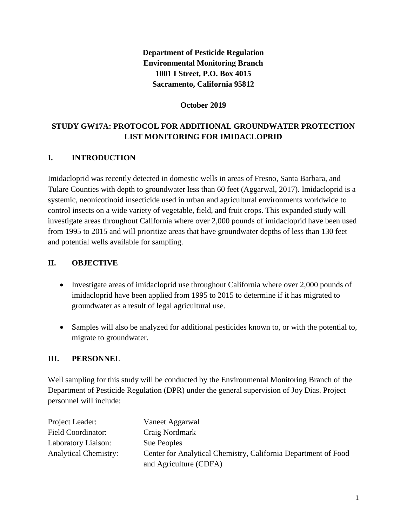**Department of Pesticide Regulation Environmental Monitoring Branch 1001 I Street, P.O. Box 4015 Sacramento, California 95812** 

#### **October 2019**

# **STUDY GW17A: PROTOCOL FOR ADDITIONAL GROUNDWATER PROTECTION LIST MONITORING FOR IMIDACLOPRID**

## **I. INTRODUCTION**

Imidacloprid was recently detected in domestic wells in areas of Fresno, Santa Barbara, and Tulare Counties with depth to groundwater less than 60 feet (Aggarwal, 2017). Imidacloprid is a systemic, neonicotinoid insecticide used in urban and agricultural environments worldwide to control insects on a wide variety of vegetable, field, and fruit crops. This expanded study will investigate areas throughout California where over 2,000 pounds of imidacloprid have been used from 1995 to 2015 and will prioritize areas that have groundwater depths of less than 130 feet and potential wells available for sampling.

## **II. OBJECTIVE**

- Investigate areas of imidacloprid use throughout California where over 2,000 pounds of imidacloprid have been applied from 1995 to 2015 to determine if it has migrated to groundwater as a result of legal agricultural use.
- Samples will also be analyzed for additional pesticides known to, or with the potential to, migrate to groundwater.

#### **III. PERSONNEL**

Well sampling for this study will be conducted by the Environmental Monitoring Branch of the Department of Pesticide Regulation (DPR) under the general supervision of Joy Dias. Project personnel will include:

| Project Leader:              | Vaneet Aggarwal                                                |
|------------------------------|----------------------------------------------------------------|
| <b>Field Coordinator:</b>    | Craig Nordmark                                                 |
| Laboratory Liaison:          | Sue Peoples                                                    |
| <b>Analytical Chemistry:</b> | Center for Analytical Chemistry, California Department of Food |
|                              | and Agriculture (CDFA)                                         |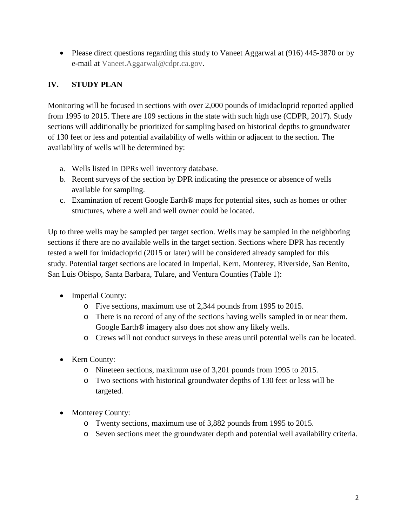• Please direct questions regarding this study to Vaneet Aggarwal at (916) 445-3870 or by e-mail at [Vaneet.Aggarwal@cdpr.ca.gov.](mailto:Vaneet.Aggarwal@cdpr.ca.gov)

# **IV. STUDY PLAN**

Monitoring will be focused in sections with over 2,000 pounds of imidacloprid reported applied from 1995 to 2015. There are 109 sections in the state with such high use (CDPR, 2017). Study sections will additionally be prioritized for sampling based on historical depths to groundwater of 130 feet or less and potential availability of wells within or adjacent to the section. The availability of wells will be determined by:

- a. Wells listed in DPRs well inventory database.
- b. Recent surveys of the section by DPR indicating the presence or absence of wells available for sampling.
- c. Examination of recent Google Earth® maps for potential sites, such as homes or other structures, where a well and well owner could be located.

Up to three wells may be sampled per target section. Wells may be sampled in the neighboring sections if there are no available wells in the target section. Sections where DPR has recently tested a well for imidacloprid (2015 or later) will be considered already sampled for this study. Potential target sections are located in Imperial, Kern, Monterey, Riverside, San Benito, San Luis Obispo, Santa Barbara, Tulare, and Ventura Counties (Table 1):

- Imperial County:
	- o Five sections, maximum use of 2,344 pounds from 1995 to 2015.
	- o There is no record of any of the sections having wells sampled in or near them. Google Earth® imagery also does not show any likely wells.
	- o Crews will not conduct surveys in these areas until potential wells can be located.
- Kern County:
	- o Nineteen sections, maximum use of 3,201 pounds from 1995 to 2015.
	- o Two sections with historical groundwater depths of 130 feet or less will be targeted.
- Monterey County:
	- o Twenty sections, maximum use of 3,882 pounds from 1995 to 2015.
	- o Seven sections meet the groundwater depth and potential well availability criteria.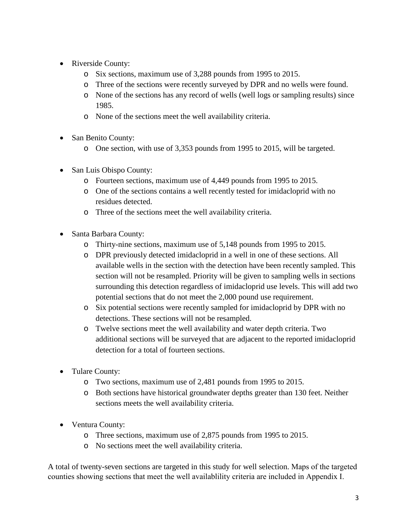- Riverside County:
	- o Six sections, maximum use of 3,288 pounds from 1995 to 2015.
	- o Three of the sections were recently surveyed by DPR and no wells were found.
	- o None of the sections has any record of wells (well logs or sampling results) since 1985.
	- o None of the sections meet the well availability criteria.
- San Benito County:
	- o One section, with use of 3,353 pounds from 1995 to 2015, will be targeted.
- San Luis Obispo County:
	- o Fourteen sections, maximum use of 4,449 pounds from 1995 to 2015.
	- o One of the sections contains a well recently tested for imidacloprid with no residues detected.
	- o Three of the sections meet the well availability criteria.
- Santa Barbara County:
	- o Thirty-nine sections, maximum use of 5,148 pounds from 1995 to 2015.
	- o DPR previously detected imidacloprid in a well in one of these sections. All available wells in the section with the detection have been recently sampled. This section will not be resampled. Priority will be given to sampling wells in sections surrounding this detection regardless of imidacloprid use levels. This will add two potential sections that do not meet the 2,000 pound use requirement.
	- o Six potential sections were recently sampled for imidacloprid by DPR with no detections. These sections will not be resampled.
	- o Twelve sections meet the well availability and water depth criteria. Two additional sections will be surveyed that are adjacent to the reported imidacloprid detection for a total of fourteen sections.
- Tulare County:
	- o Two sections, maximum use of 2,481 pounds from 1995 to 2015.
	- o Both sections have historical groundwater depths greater than 130 feet. Neither sections meets the well availability criteria.
- Ventura County:
	- o Three sections, maximum use of 2,875 pounds from 1995 to 2015.
	- o No sections meet the well availability criteria.

A total of twenty-seven sections are targeted in this study for well selection. Maps of the targeted counties showing sections that meet the well availablility criteria are included in Appendix I.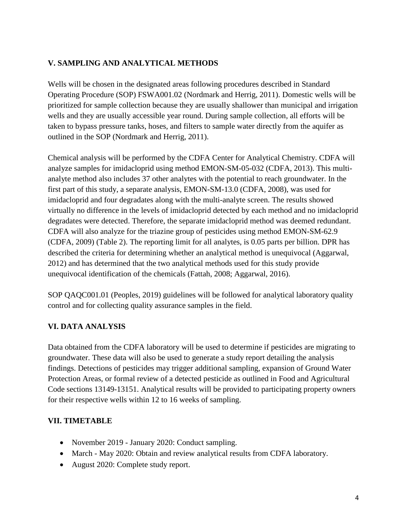#### **V. SAMPLING AND ANALYTICAL METHODS**

Wells will be chosen in the designated areas following procedures described in Standard Operating Procedure (SOP) FSWA001.02 (Nordmark and Herrig, 2011). Domestic wells will be prioritized for sample collection because they are usually shallower than municipal and irrigation wells and they are usually accessible year round. During sample collection, all efforts will be taken to bypass pressure tanks, hoses, and filters to sample water directly from the aquifer as outlined in the SOP (Nordmark and Herrig, 2011).

Chemical analysis will be performed by the CDFA Center for Analytical Chemistry. CDFA will analyze samples for imidacloprid using method EMON-SM-05-032 (CDFA, 2013). This multianalyte method also includes 37 other analytes with the potential to reach groundwater. In the first part of this study, a separate analysis, EMON-SM-13.0 (CDFA, 2008), was used for imidacloprid and four degradates along with the multi-analyte screen. The results showed virtually no difference in the levels of imidacloprid detected by each method and no imidacloprid degradates were detected. Therefore, the separate imidacloprid method was deemed redundant. CDFA will also analyze for the triazine group of pesticides using method EMON-SM-62.9 (CDFA, 2009) (Table 2). The reporting limit for all analytes, is 0.05 parts per billion. DPR has described the criteria for determining whether an analytical method is unequivocal (Aggarwal, 2012) and has determined that the two analytical methods used for this study provide unequivocal identification of the chemicals (Fattah, 2008; Aggarwal, 2016).

SOP QAQC001.01 (Peoples, 2019) guidelines will be followed for analytical laboratory quality control and for collecting quality assurance samples in the field.

#### **VI. DATA ANALYSIS**

Data obtained from the CDFA laboratory will be used to determine if pesticides are migrating to groundwater. These data will also be used to generate a study report detailing the analysis findings. Detections of pesticides may trigger additional sampling, expansion of Ground Water Protection Areas, or formal review of a detected pesticide as outlined in Food and Agricultural Code sections 13149-13151. Analytical results will be provided to participating property owners for their respective wells within 12 to 16 weeks of sampling.

#### **VII. TIMETABLE**

- November 2019 January 2020: Conduct sampling.
- March May 2020: Obtain and review analytical results from CDFA laboratory.
- August 2020: Complete study report.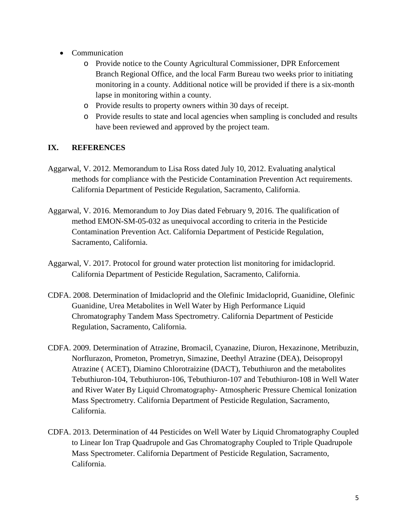- Communication
	- o Provide notice to the County Agricultural Commissioner, DPR Enforcement Branch Regional Office, and the local Farm Bureau two weeks prior to initiating monitoring in a county. Additional notice will be provided if there is a six-month lapse in monitoring within a county.
	- o Provide results to property owners within 30 days of receipt.
	- o Provide results to state and local agencies when sampling is concluded and results have been reviewed and approved by the project team.

## **IX. REFERENCES**

- Aggarwal, V. 2012. Memorandum to Lisa Ross dated July 10, 2012. Evaluating analytical methods for compliance with the Pesticide Contamination Prevention Act requirements. California Department of Pesticide Regulation, Sacramento, California.
- Aggarwal, V. 2016. Memorandum to Joy Dias dated February 9, 2016. The qualification of method EMON-SM-05-032 as unequivocal according to criteria in the Pesticide Contamination Prevention Act. California Department of Pesticide Regulation, Sacramento, California.
- Aggarwal, V. 2017. Protocol for ground water protection list monitoring for imidacloprid. California Department of Pesticide Regulation, Sacramento, California.
- CDFA. 2008. Determination of Imidacloprid and the Olefinic Imidacloprid, Guanidine, Olefinic Guanidine, Urea Metabolites in Well Water by High Performance Liquid Chromatography Tandem Mass Spectrometry. California Department of Pesticide Regulation, Sacramento, California.
- CDFA. 2009. Determination of Atrazine, Bromacil, Cyanazine, Diuron, Hexazinone, Metribuzin, Norflurazon, Prometon, Prometryn, Simazine, Deethyl Atrazine (DEA), Deisopropyl Atrazine ( ACET), Diamino Chlorotraizine (DACT), Tebuthiuron and the metabolites Tebuthiuron-104, Tebuthiuron-106, Tebuthiuron-107 and Tebuthiuron-108 in Well Water and River Water By Liquid Chromatography- Atmospheric Pressure Chemical Ionization Mass Spectrometry. California Department of Pesticide Regulation, Sacramento, California.
- CDFA. 2013. Determination of 44 Pesticides on Well Water by Liquid Chromatography Coupled to Linear Ion Trap Quadrupole and Gas Chromatography Coupled to Triple Quadrupole Mass Spectrometer. California Department of Pesticide Regulation, Sacramento, California.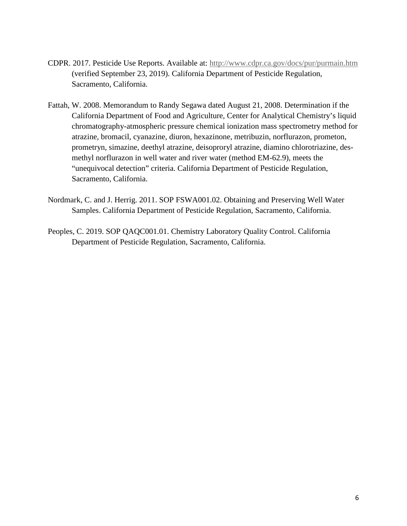- CDPR. 2017. Pesticide Use Reports. Available at: <http://www.cdpr.ca.gov/docs/pur/purmain.htm> (verified September 23, 2019). California Department of Pesticide Regulation, Sacramento, California.
- Fattah, W. 2008. Memorandum to Randy Segawa dated August 21, 2008. Determination if the California Department of Food and Agriculture, Center for Analytical Chemistry's liquid chromatography-atmospheric pressure chemical ionization mass spectrometry method for atrazine, bromacil, cyanazine, diuron, hexazinone, metribuzin, norflurazon, prometon, prometryn, simazine, deethyl atrazine, deisoproryl atrazine, diamino chlorotriazine, desmethyl norflurazon in well water and river water (method EM-62.9), meets the "unequivocal detection" criteria. California Department of Pesticide Regulation, Sacramento, California.
- Nordmark, C. and J. Herrig. 2011. SOP FSWA001.02. Obtaining and Preserving Well Water Samples. California Department of Pesticide Regulation, Sacramento, California.
- Peoples, C. 2019. SOP QAQC001.01. Chemistry Laboratory Quality Control. California Department of Pesticide Regulation, Sacramento, California.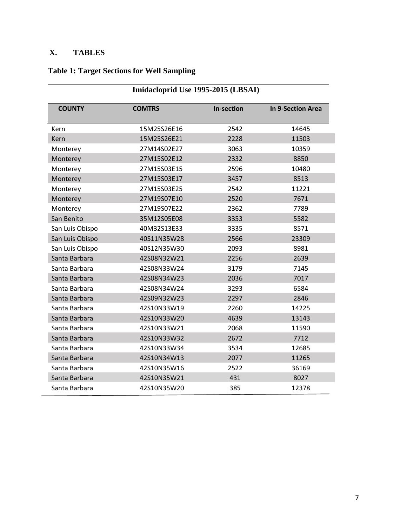# **X. TABLES**

# **Table 1: Target Sections for Well Sampling**

| Imidacloprid Use 1995-2015 (LBSAI) |               |                   |                          |  |
|------------------------------------|---------------|-------------------|--------------------------|--|
| <b>COUNTY</b>                      | <b>COMTRS</b> | <b>In-section</b> | <b>In 9-Section Area</b> |  |
| Kern                               | 15M25S26E16   | 2542              | 14645                    |  |
| Kern                               | 15M25S26E21   | 2228              | 11503                    |  |
| Monterey                           | 27M14S02E27   | 3063              | 10359                    |  |
| Monterey                           | 27M15S02E12   | 2332              | 8850                     |  |
| Monterey                           | 27M15S03E15   | 2596              | 10480                    |  |
| Monterey                           | 27M15S03E17   | 3457              | 8513                     |  |
| Monterey                           | 27M15S03E25   | 2542              | 11221                    |  |
| Monterey                           | 27M19S07E10   | 2520              | 7671                     |  |
| Monterey                           | 27M19S07E22   | 2362              | 7789                     |  |
| San Benito                         | 35M12S05E08   | 3353              | 5582                     |  |
| San Luis Obispo                    | 40M32S13E33   | 3335              | 8571                     |  |
| San Luis Obispo                    | 40S11N35W28   | 2566              | 23309                    |  |
| San Luis Obispo                    | 40S12N35W30   | 2093              | 8981                     |  |
| Santa Barbara                      | 42S08N32W21   | 2256              | 2639                     |  |
| Santa Barbara                      | 42S08N33W24   | 3179              | 7145                     |  |
| Santa Barbara                      | 42S08N34W23   | 2036              | 7017                     |  |
| Santa Barbara                      | 42S08N34W24   | 3293              | 6584                     |  |
| Santa Barbara                      | 42S09N32W23   | 2297              | 2846                     |  |
| Santa Barbara                      | 42S10N33W19   | 2260              | 14225                    |  |
| Santa Barbara                      | 42S10N33W20   | 4639              | 13143                    |  |
| Santa Barbara                      | 42S10N33W21   | 2068              | 11590                    |  |
| Santa Barbara                      | 42S10N33W32   | 2672              | 7712                     |  |
| Santa Barbara                      | 42S10N33W34   | 3534              | 12685                    |  |
| Santa Barbara                      | 42S10N34W13   | 2077              | 11265                    |  |
| Santa Barbara                      | 42S10N35W16   | 2522              | 36169                    |  |
| Santa Barbara                      | 42S10N35W21   | 431               | 8027                     |  |
| Santa Barbara                      | 42S10N35W20   | 385               | 12378                    |  |